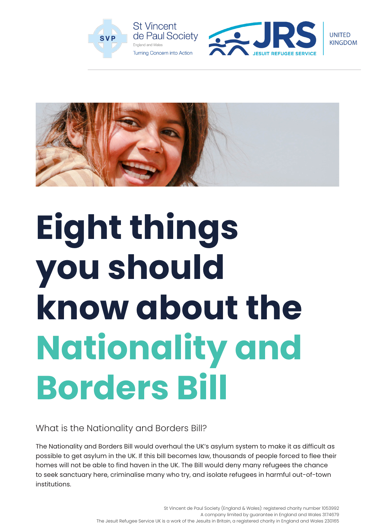





# **Eight things you should know about the Nationality and Borders Bill**

What is the Nationality and Borders Bill?

The Nationality and Borders Bill would overhaul the UK's asylum system to make it as difficult as possible to get asylum in the UK. If this bill becomes law, thousands of people forced to flee their homes will not be able to find haven in the UK. The Bill would deny many refugees the chance to seek sanctuary here, criminalise many who try, and isolate refugees in harmful out-of-town institutions.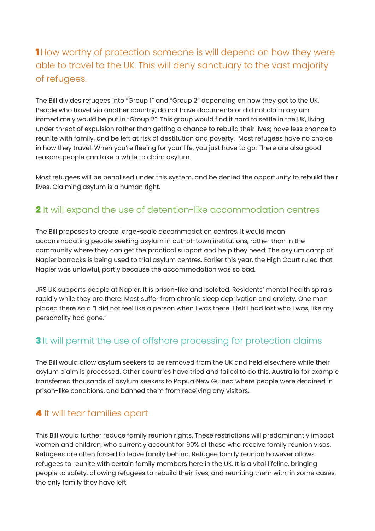## **1** How worthy of protection someone is will depend on how they were able to travel to the UK. This will deny sanctuary to the vast majority of refugees.

The Bill divides refugees into "Group 1" and "Group 2" depending on how they got to the UK. People who travel via another country, do not have documents or did not claim asylum immediately would be put in "Group 2". This group would find it hard to settle in the UK, living under threat of expulsion rather than getting a chance to rebuild their lives; have less chance to reunite with family, and be left at risk of destitution and poverty. Most refugees have no choice in how they travel. When you're fleeing for your life, you just have to go. There are also good reasons people can take a while to claim asylum.

Most refugees will be penalised under this system, and be denied the opportunity to rebuild their lives. Claiming asylum is a human right.

## 2 It will expand the use of detention-like accommodation centres

The Bill proposes to create large-scale accommodation centres. It would mean accommodating people seeking asylum in out-of-town institutions, rather than in the community where they can get the practical support and help they need. The asylum camp at Napier barracks is being used to trial asylum centres. Earlier this year, the High Court ruled that Napier was unlawful, partly because the accommodation was so bad.

JRS UK supports people at Napier. It is prison-like and isolated. Residents' mental health spirals rapidly while they are there. Most suffer from chronic sleep deprivation and anxiety. One man placed there said "I did not feel like a person when I was there. I felt I had lost who I was, like my personality had gone."

## **3** It will permit the use of offshore processing for protection claims

The Bill would allow asylum seekers to be removed from the UK and held elsewhere while their asylum claim is processed. Other countries have tried and failed to do this. Australia for example transferred thousands of asylum seekers to Papua New Guinea where people were detained in prison-like conditions, and banned them from receiving any visitors.

## 4 It will tear families apart

This Bill would further reduce family reunion rights. These restrictions will predominantly impact women and children, who currently account for 90% of those who receive family reunion visas. Refugees are often forced to leave family behind. Refugee family reunion however allows refugees to reunite with certain family members here in the UK. It is a vital lifeline, bringing people to safety, allowing refugees to rebuild their lives, and reuniting them with, in some cases, the only family they have left.